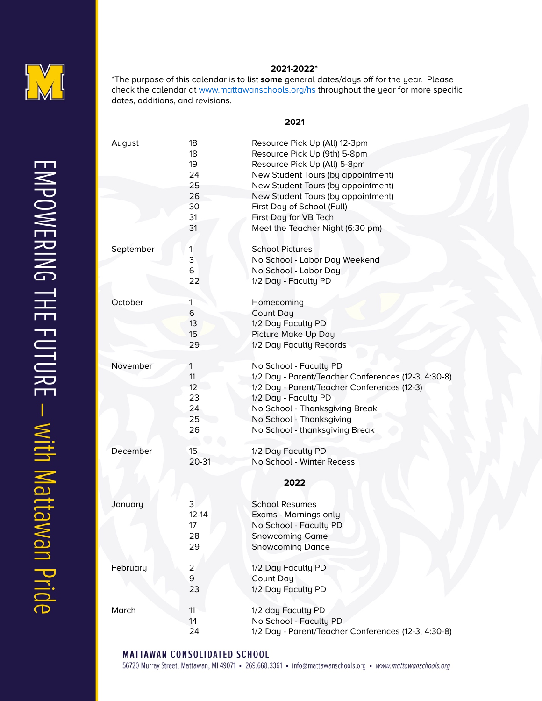

## **2021-2022\***

\*The purpose of this calendar is to list **some** general dates/days off for the year. Please check the calendar at [www.mattawanschools.org/hs](http://www.mattawanschools.org/hs) throughout the year for more specific dates, additions, and revisions.

## 

| August    | 18                      | Resource Pick Up (All) 12-3pm                       |
|-----------|-------------------------|-----------------------------------------------------|
|           | 18                      | Resource Pick Up (9th) 5-8pm                        |
|           | 19                      | Resource Pick Up (All) 5-8pm                        |
|           | 24                      | New Student Tours (by appointment)                  |
|           | 25                      | New Student Tours (by appointment)                  |
|           | 26                      | New Student Tours (by appointment)                  |
|           | 30                      | First Day of School (Full)                          |
|           | 31                      | First Day for VB Tech                               |
|           | 31                      | Meet the Teacher Night (6:30 pm)                    |
|           |                         |                                                     |
| September | 1                       | <b>School Pictures</b>                              |
|           | 3                       | No School - Labor Day Weekend                       |
|           | 6                       | No School - Labor Day                               |
|           | 22                      | 1/2 Day - Faculty PD                                |
|           |                         |                                                     |
| October   | $\overline{\mathbf{1}}$ | Homecoming                                          |
|           | 6                       | Count Day                                           |
|           | 13                      | 1/2 Day Faculty PD                                  |
|           | 15                      | Picture Make Up Day                                 |
|           | 29                      | 1/2 Day Faculty Records                             |
|           |                         |                                                     |
| November  | $\mathbf{1}$            | No School - Faculty PD                              |
|           | 11                      | 1/2 Day - Parent/Teacher Conferences (12-3, 4:30-8) |
|           | 12                      | 1/2 Day - Parent/Teacher Conferences (12-3)         |
|           | 23                      | 1/2 Day - Faculty PD                                |
|           | 24                      | No School - Thanksgiving Break                      |
|           | 25                      | No School - Thanksgiving                            |
|           | 26                      | No School - thanksgiving Break                      |
|           |                         |                                                     |
| December  | 15                      | 1/2 Day Faculty PD                                  |
|           | $20 - 31$               | No School - Winter Recess                           |
|           |                         |                                                     |
|           |                         | 2022                                                |
|           |                         |                                                     |
| January   | 3                       | <b>School Resumes</b>                               |
|           | $12 - 14$               | Exams - Mornings only                               |
|           | 17                      | No School - Faculty PD                              |
|           | 28                      | <b>Snowcoming Game</b>                              |
|           | 29                      | <b>Snowcoming Dance</b>                             |
|           |                         |                                                     |
| February  | $\overline{a}$          | 1/2 Day Faculty PD                                  |
|           | 9                       | Count Day                                           |
|           | 23                      | 1/2 Day Faculty PD                                  |
|           |                         |                                                     |
| March     | 11                      | 1/2 day Faculty PD                                  |
|           | 14                      | No School - Faculty PD                              |
|           | 24                      | 1/2 Day - Parent/Teacher Conferences (12-3, 4:30-8) |

**MATTAWAN CONSOLIDATED SCHOOL** 

56720 Murray Street, Mattawan, MI 49071 • 269.668.3361 • info@mattawanschools.org • www.mattawanschools.org